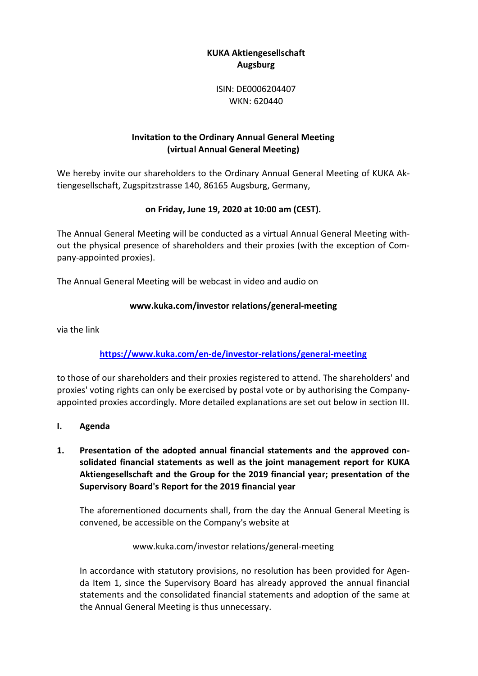# KUKA Aktiengesellschaft Augsburg

ISIN: DE0006204407 WKN: 620440

# Invitation to the Ordinary Annual General Meeting (virtual Annual General Meeting)

We hereby invite our shareholders to the Ordinary Annual General Meeting of KUKA Aktiengesellschaft, Zugspitzstrasse 140, 86165 Augsburg, Germany,

# on Friday, June 19, 2020 at 10:00 am (CEST).

The Annual General Meeting will be conducted as a virtual Annual General Meeting without the physical presence of shareholders and their proxies (with the exception of Company-appointed proxies).

The Annual General Meeting will be webcast in video and audio on

# www.kuka.com/investor relations/general-meeting

via the link

# https://www.kuka.com/en-de/investor-relations/general-meeting

to those of our shareholders and their proxies registered to attend. The shareholders' and proxies' voting rights can only be exercised by postal vote or by authorising the Companyappointed proxies accordingly. More detailed explanations are set out below in section III.

- I. Agenda
- 1. Presentation of the adopted annual financial statements and the approved consolidated financial statements as well as the joint management report for KUKA Aktiengesellschaft and the Group for the 2019 financial year; presentation of the Supervisory Board's Report for the 2019 financial year

The aforementioned documents shall, from the day the Annual General Meeting is convened, be accessible on the Company's website at

## www.kuka.com/investor relations/general-meeting

In accordance with statutory provisions, no resolution has been provided for Agenda Item 1, since the Supervisory Board has already approved the annual financial statements and the consolidated financial statements and adoption of the same at the Annual General Meeting is thus unnecessary.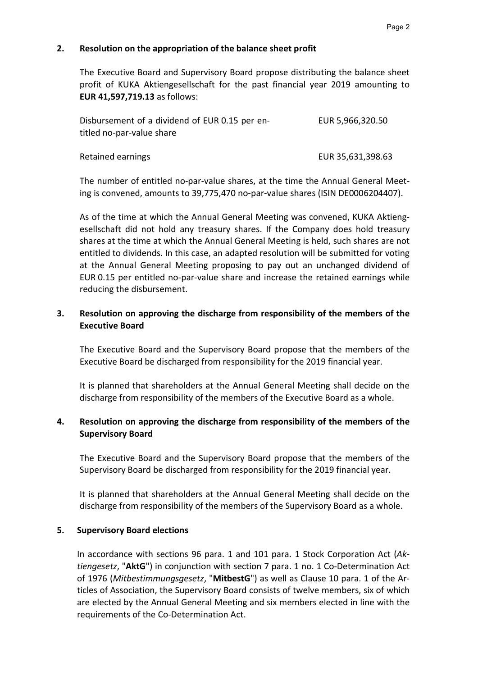## 2. Resolution on the appropriation of the balance sheet profit

The Executive Board and Supervisory Board propose distributing the balance sheet profit of KUKA Aktiengesellschaft for the past financial year 2019 amounting to EUR 41,597,719.13 as follows:

| Disbursement of a dividend of EUR 0.15 per en- | EUR 5,966,320.50  |
|------------------------------------------------|-------------------|
| titled no-par-value share                      |                   |
| Retained earnings                              | EUR 35,631,398.63 |

The number of entitled no-par-value shares, at the time the Annual General Meeting is convened, amounts to 39,775,470 no-par-value shares (ISIN DE0006204407).

As of the time at which the Annual General Meeting was convened, KUKA Aktiengesellschaft did not hold any treasury shares. If the Company does hold treasury shares at the time at which the Annual General Meeting is held, such shares are not entitled to dividends. In this case, an adapted resolution will be submitted for voting at the Annual General Meeting proposing to pay out an unchanged dividend of EUR 0.15 per entitled no-par-value share and increase the retained earnings while reducing the disbursement.

## 3. Resolution on approving the discharge from responsibility of the members of the Executive Board

The Executive Board and the Supervisory Board propose that the members of the Executive Board be discharged from responsibility for the 2019 financial year.

It is planned that shareholders at the Annual General Meeting shall decide on the discharge from responsibility of the members of the Executive Board as a whole.

## 4. Resolution on approving the discharge from responsibility of the members of the Supervisory Board

The Executive Board and the Supervisory Board propose that the members of the Supervisory Board be discharged from responsibility for the 2019 financial year.

It is planned that shareholders at the Annual General Meeting shall decide on the discharge from responsibility of the members of the Supervisory Board as a whole.

### 5. Supervisory Board elections

In accordance with sections 96 para. 1 and 101 para. 1 Stock Corporation Act (Aktiengesetz, "AktG") in conjunction with section 7 para. 1 no. 1 Co-Determination Act of 1976 (Mitbestimmungsgesetz, "MitbestG") as well as Clause 10 para. 1 of the Articles of Association, the Supervisory Board consists of twelve members, six of which are elected by the Annual General Meeting and six members elected in line with the requirements of the Co-Determination Act.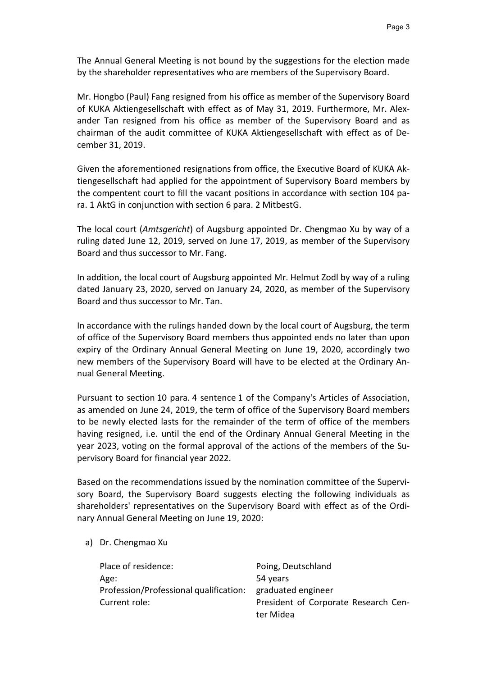The Annual General Meeting is not bound by the suggestions for the election made by the shareholder representatives who are members of the Supervisory Board.

Mr. Hongbo (Paul) Fang resigned from his office as member of the Supervisory Board of KUKA Aktiengesellschaft with effect as of May 31, 2019. Furthermore, Mr. Alexander Tan resigned from his office as member of the Supervisory Board and as chairman of the audit committee of KUKA Aktiengesellschaft with effect as of December 31, 2019.

Given the aforementioned resignations from office, the Executive Board of KUKA Aktiengesellschaft had applied for the appointment of Supervisory Board members by the compentent court to fill the vacant positions in accordance with section 104 para. 1 AktG in conjunction with section 6 para. 2 MitbestG.

The local court (Amtsgericht) of Augsburg appointed Dr. Chengmao Xu by way of a ruling dated June 12, 2019, served on June 17, 2019, as member of the Supervisory Board and thus successor to Mr. Fang.

In addition, the local court of Augsburg appointed Mr. Helmut Zodl by way of a ruling dated January 23, 2020, served on January 24, 2020, as member of the Supervisory Board and thus successor to Mr. Tan.

In accordance with the rulings handed down by the local court of Augsburg, the term of office of the Supervisory Board members thus appointed ends no later than upon expiry of the Ordinary Annual General Meeting on June 19, 2020, accordingly two new members of the Supervisory Board will have to be elected at the Ordinary Annual General Meeting.

Pursuant to section 10 para. 4 sentence 1 of the Company's Articles of Association, as amended on June 24, 2019, the term of office of the Supervisory Board members to be newly elected lasts for the remainder of the term of office of the members having resigned, i.e. until the end of the Ordinary Annual General Meeting in the year 2023, voting on the formal approval of the actions of the members of the Supervisory Board for financial year 2022.

Based on the recommendations issued by the nomination committee of the Supervisory Board, the Supervisory Board suggests electing the following individuals as shareholders' representatives on the Supervisory Board with effect as of the Ordinary Annual General Meeting on June 19, 2020:

a) Dr. Chengmao Xu

| Place of residence:                                       | Poing, Deutschland                   |
|-----------------------------------------------------------|--------------------------------------|
| Age:                                                      | 54 years                             |
| Profession/Professional qualification: graduated engineer |                                      |
| Current role:                                             | President of Corporate Research Cen- |
|                                                           | ter Midea                            |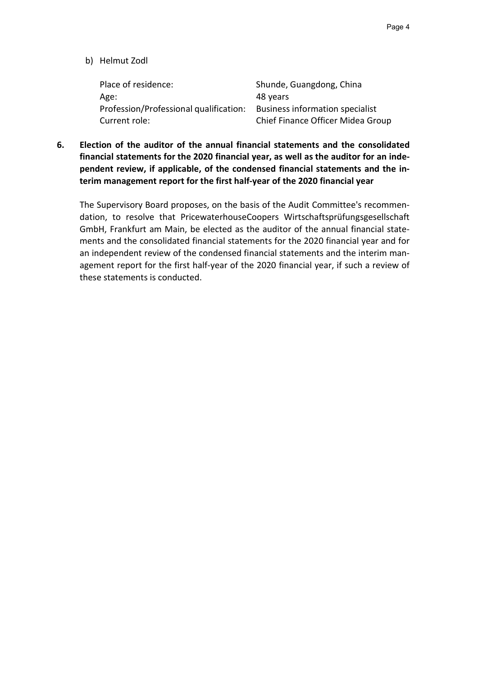b) Helmut Zodl

| Place of residence:                    | Shunde, Guangdong, China               |
|----------------------------------------|----------------------------------------|
| Age:                                   | 48 years                               |
| Profession/Professional qualification: | <b>Business information specialist</b> |
| Current role:                          | Chief Finance Officer Midea Group      |

6. Election of the auditor of the annual financial statements and the consolidated financial statements for the 2020 financial year, as well as the auditor for an independent review, if applicable, of the condensed financial statements and the interim management report for the first half-year of the 2020 financial year

The Supervisory Board proposes, on the basis of the Audit Committee's recommendation, to resolve that PricewaterhouseCoopers Wirtschaftsprüfungsgesellschaft GmbH, Frankfurt am Main, be elected as the auditor of the annual financial statements and the consolidated financial statements for the 2020 financial year and for an independent review of the condensed financial statements and the interim management report for the first half-year of the 2020 financial year, if such a review of these statements is conducted.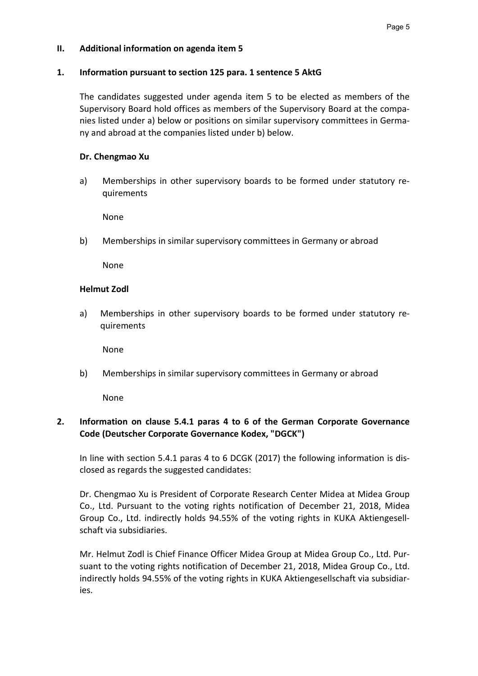### II. Additional information on agenda item 5

#### 1. Information pursuant to section 125 para. 1 sentence 5 AktG

The candidates suggested under agenda item 5 to be elected as members of the Supervisory Board hold offices as members of the Supervisory Board at the companies listed under a) below or positions on similar supervisory committees in Germany and abroad at the companies listed under b) below.

#### Dr. Chengmao Xu

a) Memberships in other supervisory boards to be formed under statutory requirements

None

b) Memberships in similar supervisory committees in Germany or abroad

None

### Helmut Zodl

a) Memberships in other supervisory boards to be formed under statutory requirements

None

b) Memberships in similar supervisory committees in Germany or abroad

None

## 2. Information on clause 5.4.1 paras 4 to 6 of the German Corporate Governance Code (Deutscher Corporate Governance Kodex, "DGCK")

In line with section 5.4.1 paras 4 to 6 DCGK (2017) the following information is disclosed as regards the suggested candidates:

Dr. Chengmao Xu is President of Corporate Research Center Midea at Midea Group Co., Ltd. Pursuant to the voting rights notification of December 21, 2018, Midea Group Co., Ltd. indirectly holds 94.55% of the voting rights in KUKA Aktiengesellschaft via subsidiaries.

Mr. Helmut Zodl is Chief Finance Officer Midea Group at Midea Group Co., Ltd. Pursuant to the voting rights notification of December 21, 2018, Midea Group Co., Ltd. indirectly holds 94.55% of the voting rights in KUKA Aktiengesellschaft via subsidiaries.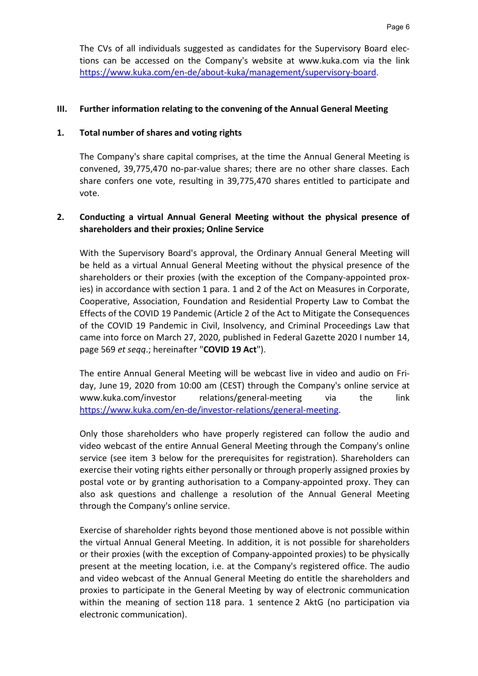The CVs of all individuals suggested as candidates for the Supervisory Board elections can be accessed on the Company's website at www.kuka.com via the link https://www.kuka.com/en-de/about-kuka/management/supervisory-board.

#### III. Further information relating to the convening of the Annual General Meeting

#### 1. Total number of shares and voting rights

The Company's share capital comprises, at the time the Annual General Meeting is convened, 39,775,470 no-par-value shares; there are no other share classes. Each share confers one vote, resulting in 39,775,470 shares entitled to participate and vote.

## 2. Conducting a virtual Annual General Meeting without the physical presence of shareholders and their proxies; Online Service

With the Supervisory Board's approval, the Ordinary Annual General Meeting will be held as a virtual Annual General Meeting without the physical presence of the shareholders or their proxies (with the exception of the Company-appointed proxies) in accordance with section 1 para. 1 and 2 of the Act on Measures in Corporate, Cooperative, Association, Foundation and Residential Property Law to Combat the Effects of the COVID 19 Pandemic (Article 2 of the Act to Mitigate the Consequences of the COVID 19 Pandemic in Civil, Insolvency, and Criminal Proceedings Law that came into force on March 27, 2020, published in Federal Gazette 2020 I number 14, page 569 et seqq.; hereinafter "COVID 19 Act").

The entire Annual General Meeting will be webcast live in video and audio on Friday, June 19, 2020 from 10:00 am (CEST) through the Company's online service at www.kuka.com/investor relations/general-meeting via the link https://www.kuka.com/en-de/investor-relations/general-meeting.

Only those shareholders who have properly registered can follow the audio and video webcast of the entire Annual General Meeting through the Company's online service (see item 3 below for the prerequisites for registration). Shareholders can exercise their voting rights either personally or through properly assigned proxies by postal vote or by granting authorisation to a Company-appointed proxy. They can also ask questions and challenge a resolution of the Annual General Meeting through the Company's online service.

Exercise of shareholder rights beyond those mentioned above is not possible within the virtual Annual General Meeting. In addition, it is not possible for shareholders or their proxies (with the exception of Company-appointed proxies) to be physically present at the meeting location, i.e. at the Company's registered office. The audio and video webcast of the Annual General Meeting do entitle the shareholders and proxies to participate in the General Meeting by way of electronic communication within the meaning of section 118 para. 1 sentence 2 AktG (no participation via electronic communication).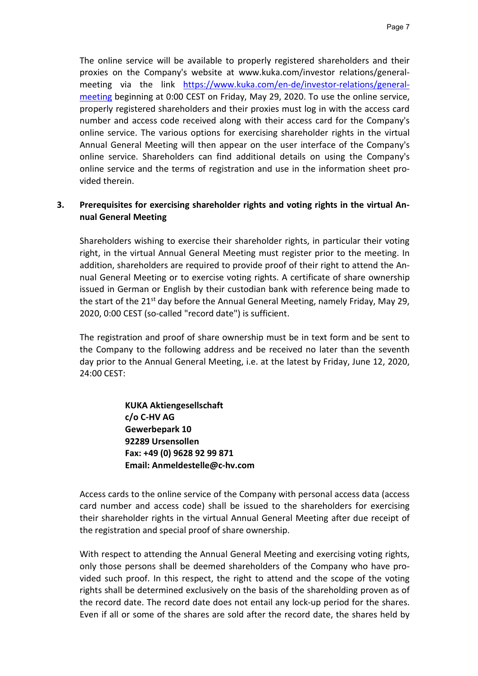The online service will be available to properly registered shareholders and their proxies on the Company's website at www.kuka.com/investor relations/generalmeeting via the link https://www.kuka.com/en-de/investor-relations/generalmeeting beginning at 0:00 CEST on Friday, May 29, 2020. To use the online service, properly registered shareholders and their proxies must log in with the access card number and access code received along with their access card for the Company's online service. The various options for exercising shareholder rights in the virtual Annual General Meeting will then appear on the user interface of the Company's online service. Shareholders can find additional details on using the Company's online service and the terms of registration and use in the information sheet provided therein.

## 3. Prerequisites for exercising shareholder rights and voting rights in the virtual Annual General Meeting

Shareholders wishing to exercise their shareholder rights, in particular their voting right, in the virtual Annual General Meeting must register prior to the meeting. In addition, shareholders are required to provide proof of their right to attend the Annual General Meeting or to exercise voting rights. A certificate of share ownership issued in German or English by their custodian bank with reference being made to the start of the  $21^{st}$  day before the Annual General Meeting, namely Friday, May 29, 2020, 0:00 CEST (so-called "record date") is sufficient.

The registration and proof of share ownership must be in text form and be sent to the Company to the following address and be received no later than the seventh day prior to the Annual General Meeting, i.e. at the latest by Friday, June 12, 2020, 24:00 CEST:

> KUKA Aktiengesellschaft c/o C-HV AG Gewerbepark 10 92289 Ursensollen Fax: +49 (0) 9628 92 99 871 Email: Anmeldestelle@c-hv.com

Access cards to the online service of the Company with personal access data (access card number and access code) shall be issued to the shareholders for exercising their shareholder rights in the virtual Annual General Meeting after due receipt of the registration and special proof of share ownership.

With respect to attending the Annual General Meeting and exercising voting rights, only those persons shall be deemed shareholders of the Company who have provided such proof. In this respect, the right to attend and the scope of the voting rights shall be determined exclusively on the basis of the shareholding proven as of the record date. The record date does not entail any lock-up period for the shares. Even if all or some of the shares are sold after the record date, the shares held by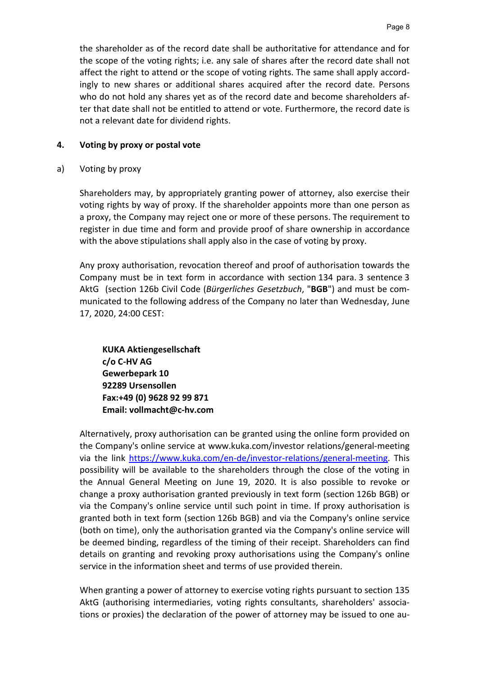the shareholder as of the record date shall be authoritative for attendance and for the scope of the voting rights; i.e. any sale of shares after the record date shall not affect the right to attend or the scope of voting rights. The same shall apply accordingly to new shares or additional shares acquired after the record date. Persons who do not hold any shares yet as of the record date and become shareholders after that date shall not be entitled to attend or vote. Furthermore, the record date is not a relevant date for dividend rights.

### 4. Voting by proxy or postal vote

a) Voting by proxy

Shareholders may, by appropriately granting power of attorney, also exercise their voting rights by way of proxy. If the shareholder appoints more than one person as a proxy, the Company may reject one or more of these persons. The requirement to register in due time and form and provide proof of share ownership in accordance with the above stipulations shall apply also in the case of voting by proxy.

Any proxy authorisation, revocation thereof and proof of authorisation towards the Company must be in text form in accordance with section 134 para. 3 sentence 3 AktG (section 126b Civil Code (Bürgerliches Gesetzbuch, "BGB") and must be communicated to the following address of the Company no later than Wednesday, June 17, 2020, 24:00 CEST:

KUKA Aktiengesellschaft c/o C-HV AG Gewerbepark 10 92289 Ursensollen Fax:+49 (0) 9628 92 99 871 Email: vollmacht@c-hv.com

Alternatively, proxy authorisation can be granted using the online form provided on the Company's online service at www.kuka.com/investor relations/general-meeting via the link https://www.kuka.com/en-de/investor-relations/general-meeting. This possibility will be available to the shareholders through the close of the voting in the Annual General Meeting on June 19, 2020. It is also possible to revoke or change a proxy authorisation granted previously in text form (section 126b BGB) or via the Company's online service until such point in time. If proxy authorisation is granted both in text form (section 126b BGB) and via the Company's online service (both on time), only the authorisation granted via the Company's online service will be deemed binding, regardless of the timing of their receipt. Shareholders can find details on granting and revoking proxy authorisations using the Company's online service in the information sheet and terms of use provided therein.

When granting a power of attorney to exercise voting rights pursuant to section 135 AktG (authorising intermediaries, voting rights consultants, shareholders' associations or proxies) the declaration of the power of attorney may be issued to one au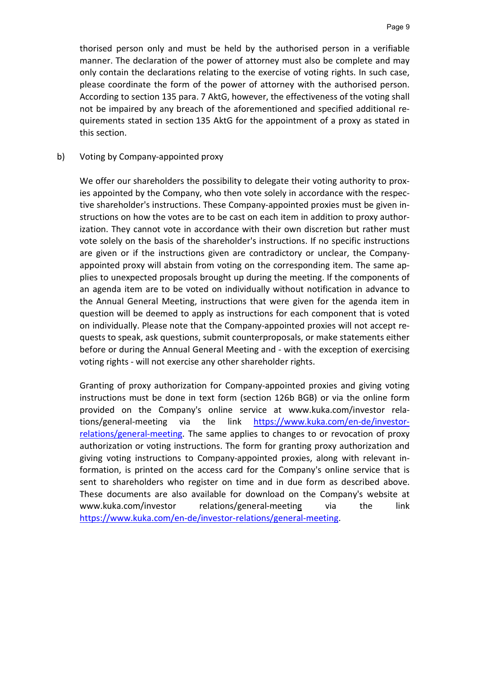thorised person only and must be held by the authorised person in a verifiable manner. The declaration of the power of attorney must also be complete and may only contain the declarations relating to the exercise of voting rights. In such case, please coordinate the form of the power of attorney with the authorised person. According to section 135 para. 7 AktG, however, the effectiveness of the voting shall not be impaired by any breach of the aforementioned and specified additional requirements stated in section 135 AktG for the appointment of a proxy as stated in this section.

#### b) Voting by Company-appointed proxy

We offer our shareholders the possibility to delegate their voting authority to proxies appointed by the Company, who then vote solely in accordance with the respective shareholder's instructions. These Company-appointed proxies must be given instructions on how the votes are to be cast on each item in addition to proxy authorization. They cannot vote in accordance with their own discretion but rather must vote solely on the basis of the shareholder's instructions. If no specific instructions are given or if the instructions given are contradictory or unclear, the Companyappointed proxy will abstain from voting on the corresponding item. The same applies to unexpected proposals brought up during the meeting. If the components of an agenda item are to be voted on individually without notification in advance to the Annual General Meeting, instructions that were given for the agenda item in question will be deemed to apply as instructions for each component that is voted on individually. Please note that the Company-appointed proxies will not accept requests to speak, ask questions, submit counterproposals, or make statements either before or during the Annual General Meeting and - with the exception of exercising voting rights - will not exercise any other shareholder rights.

Granting of proxy authorization for Company-appointed proxies and giving voting instructions must be done in text form (section 126b BGB) or via the online form provided on the Company's online service at www.kuka.com/investor relations/general-meeting via the link https://www.kuka.com/en-de/investorrelations/general-meeting. The same applies to changes to or revocation of proxy authorization or voting instructions. The form for granting proxy authorization and giving voting instructions to Company-appointed proxies, along with relevant information, is printed on the access card for the Company's online service that is sent to shareholders who register on time and in due form as described above. These documents are also available for download on the Company's website at www.kuka.com/investor relations/general-meeting via the link https://www.kuka.com/en-de/investor-relations/general-meeting.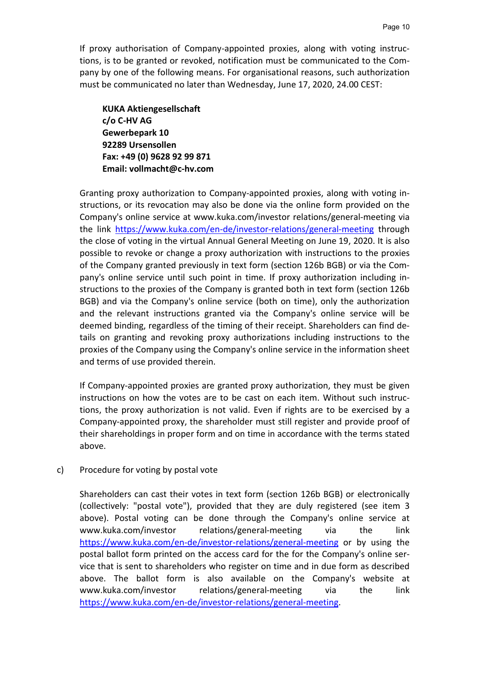If proxy authorisation of Company-appointed proxies, along with voting instructions, is to be granted or revoked, notification must be communicated to the Company by one of the following means. For organisational reasons, such authorization must be communicated no later than Wednesday, June 17, 2020, 24.00 CEST:

KUKA Aktiengesellschaft c/o C-HV AG Gewerbepark 10 92289 Ursensollen Fax: +49 (0) 9628 92 99 871 Email: vollmacht@c-hv.com

Granting proxy authorization to Company-appointed proxies, along with voting instructions, or its revocation may also be done via the online form provided on the Company's online service at www.kuka.com/investor relations/general-meeting via the link https://www.kuka.com/en-de/investor-relations/general-meeting through the close of voting in the virtual Annual General Meeting on June 19, 2020. It is also possible to revoke or change a proxy authorization with instructions to the proxies of the Company granted previously in text form (section 126b BGB) or via the Company's online service until such point in time. If proxy authorization including instructions to the proxies of the Company is granted both in text form (section 126b BGB) and via the Company's online service (both on time), only the authorization and the relevant instructions granted via the Company's online service will be deemed binding, regardless of the timing of their receipt. Shareholders can find details on granting and revoking proxy authorizations including instructions to the proxies of the Company using the Company's online service in the information sheet and terms of use provided therein.

If Company-appointed proxies are granted proxy authorization, they must be given instructions on how the votes are to be cast on each item. Without such instructions, the proxy authorization is not valid. Even if rights are to be exercised by a Company-appointed proxy, the shareholder must still register and provide proof of their shareholdings in proper form and on time in accordance with the terms stated above.

### c) Procedure for voting by postal vote

Shareholders can cast their votes in text form (section 126b BGB) or electronically (collectively: "postal vote"), provided that they are duly registered (see item 3 above). Postal voting can be done through the Company's online service at www.kuka.com/investor relations/general-meeting via the link https://www.kuka.com/en-de/investor-relations/general-meeting or by using the postal ballot form printed on the access card for the for the Company's online service that is sent to shareholders who register on time and in due form as described above. The ballot form is also available on the Company's website at www.kuka.com/investor relations/general-meeting via the link https://www.kuka.com/en-de/investor-relations/general-meeting.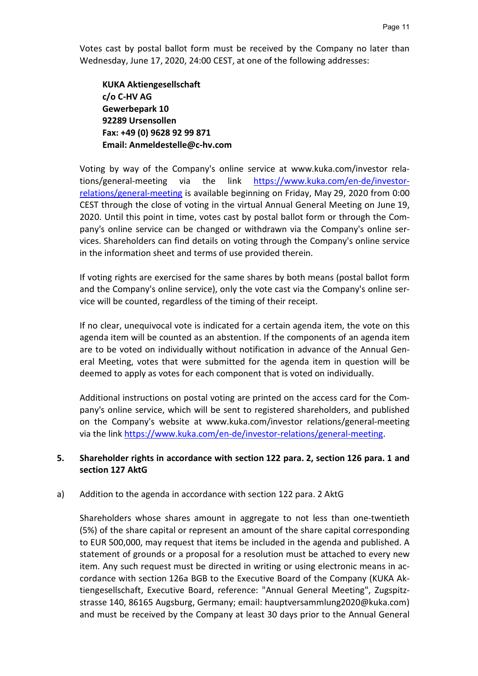Votes cast by postal ballot form must be received by the Company no later than Wednesday, June 17, 2020, 24:00 CEST, at one of the following addresses:

KUKA Aktiengesellschaft c/o C-HV AG Gewerbepark 10 92289 Ursensollen Fax: +49 (0) 9628 92 99 871 Email: Anmeldestelle@c-hv.com

Voting by way of the Company's online service at www.kuka.com/investor relations/general-meeting via the link https://www.kuka.com/en-de/investorrelations/general-meeting is available beginning on Friday, May 29, 2020 from 0:00 CEST through the close of voting in the virtual Annual General Meeting on June 19, 2020. Until this point in time, votes cast by postal ballot form or through the Company's online service can be changed or withdrawn via the Company's online services. Shareholders can find details on voting through the Company's online service in the information sheet and terms of use provided therein.

If voting rights are exercised for the same shares by both means (postal ballot form and the Company's online service), only the vote cast via the Company's online service will be counted, regardless of the timing of their receipt.

If no clear, unequivocal vote is indicated for a certain agenda item, the vote on this agenda item will be counted as an abstention. If the components of an agenda item are to be voted on individually without notification in advance of the Annual General Meeting, votes that were submitted for the agenda item in question will be deemed to apply as votes for each component that is voted on individually.

Additional instructions on postal voting are printed on the access card for the Company's online service, which will be sent to registered shareholders, and published on the Company's website at www.kuka.com/investor relations/general-meeting via the link https://www.kuka.com/en-de/investor-relations/general-meeting.

### 5. Shareholder rights in accordance with section 122 para. 2, section 126 para. 1 and section 127 AktG

#### a) Addition to the agenda in accordance with section 122 para. 2 AktG

Shareholders whose shares amount in aggregate to not less than one-twentieth (5%) of the share capital or represent an amount of the share capital corresponding to EUR 500,000, may request that items be included in the agenda and published. A statement of grounds or a proposal for a resolution must be attached to every new item. Any such request must be directed in writing or using electronic means in accordance with section 126a BGB to the Executive Board of the Company (KUKA Aktiengesellschaft, Executive Board, reference: "Annual General Meeting", Zugspitzstrasse 140, 86165 Augsburg, Germany; email: hauptversammlung2020@kuka.com) and must be received by the Company at least 30 days prior to the Annual General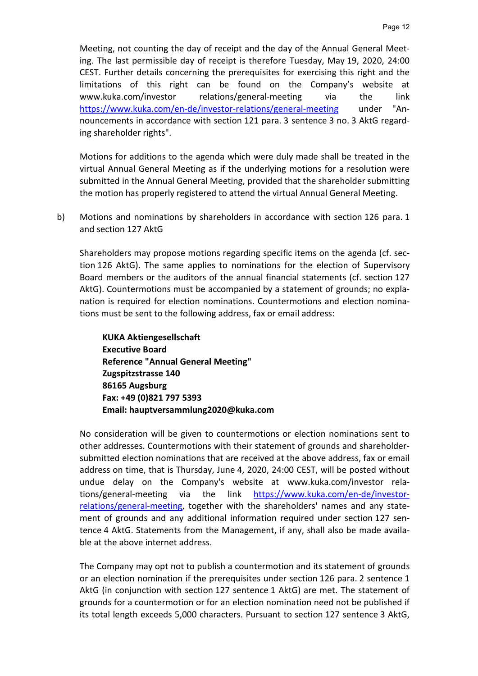Meeting, not counting the day of receipt and the day of the Annual General Meeting. The last permissible day of receipt is therefore Tuesday, May 19, 2020, 24:00 CEST. Further details concerning the prerequisites for exercising this right and the limitations of this right can be found on the Company's website at www.kuka.com/investor relations/general-meeting via the link https://www.kuka.com/en-de/investor-relations/general-meeting under "Announcements in accordance with section 121 para. 3 sentence 3 no. 3 AktG regarding shareholder rights".

Motions for additions to the agenda which were duly made shall be treated in the virtual Annual General Meeting as if the underlying motions for a resolution were submitted in the Annual General Meeting, provided that the shareholder submitting the motion has properly registered to attend the virtual Annual General Meeting.

b) Motions and nominations by shareholders in accordance with section 126 para. 1 and section 127 AktG

Shareholders may propose motions regarding specific items on the agenda (cf. section 126 AktG). The same applies to nominations for the election of Supervisory Board members or the auditors of the annual financial statements (cf. section 127 AktG). Countermotions must be accompanied by a statement of grounds; no explanation is required for election nominations. Countermotions and election nominations must be sent to the following address, fax or email address:

KUKA Aktiengesellschaft Executive Board Reference "Annual General Meeting" Zugspitzstrasse 140 86165 Augsburg Fax: +49 (0)821 797 5393 Email: hauptversammlung2020@kuka.com

No consideration will be given to countermotions or election nominations sent to other addresses. Countermotions with their statement of grounds and shareholdersubmitted election nominations that are received at the above address, fax or email address on time, that is Thursday, June 4, 2020, 24:00 CEST, will be posted without undue delay on the Company's website at www.kuka.com/investor relations/general-meeting via the link https://www.kuka.com/en-de/investorrelations/general-meeting, together with the shareholders' names and any statement of grounds and any additional information required under section 127 sentence 4 AktG. Statements from the Management, if any, shall also be made available at the above internet address.

The Company may opt not to publish a countermotion and its statement of grounds or an election nomination if the prerequisites under section 126 para. 2 sentence 1 AktG (in conjunction with section 127 sentence 1 AktG) are met. The statement of grounds for a countermotion or for an election nomination need not be published if its total length exceeds 5,000 characters. Pursuant to section 127 sentence 3 AktG,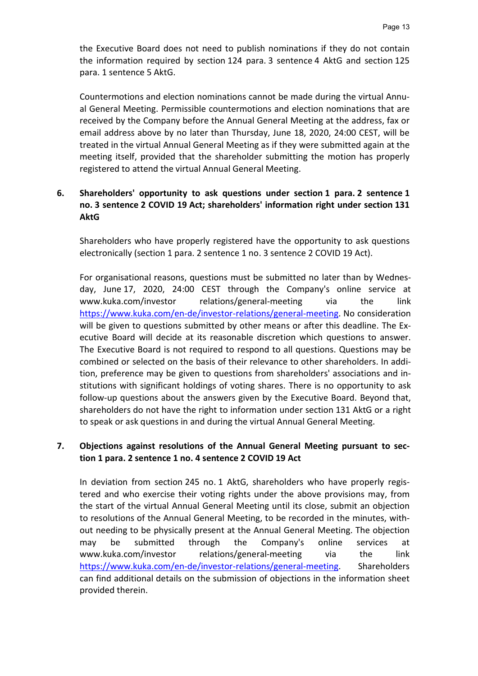the Executive Board does not need to publish nominations if they do not contain the information required by section 124 para. 3 sentence 4 AktG and section 125 para. 1 sentence 5 AktG.

Countermotions and election nominations cannot be made during the virtual Annual General Meeting. Permissible countermotions and election nominations that are received by the Company before the Annual General Meeting at the address, fax or email address above by no later than Thursday, June 18, 2020, 24:00 CEST, will be treated in the virtual Annual General Meeting as if they were submitted again at the meeting itself, provided that the shareholder submitting the motion has properly registered to attend the virtual Annual General Meeting.

## 6. Shareholders' opportunity to ask questions under section 1 para. 2 sentence 1 no. 3 sentence 2 COVID 19 Act; shareholders' information right under section 131 AktG

Shareholders who have properly registered have the opportunity to ask questions electronically (section 1 para. 2 sentence 1 no. 3 sentence 2 COVID 19 Act).

For organisational reasons, questions must be submitted no later than by Wednesday, June 17, 2020, 24:00 CEST through the Company's online service at www.kuka.com/investor relations/general-meeting via the link https://www.kuka.com/en-de/investor-relations/general-meeting. No consideration will be given to questions submitted by other means or after this deadline. The Executive Board will decide at its reasonable discretion which questions to answer. The Executive Board is not required to respond to all questions. Questions may be combined or selected on the basis of their relevance to other shareholders. In addition, preference may be given to questions from shareholders' associations and institutions with significant holdings of voting shares. There is no opportunity to ask follow-up questions about the answers given by the Executive Board. Beyond that, shareholders do not have the right to information under section 131 AktG or a right to speak or ask questions in and during the virtual Annual General Meeting.

## 7. Objections against resolutions of the Annual General Meeting pursuant to section 1 para. 2 sentence 1 no. 4 sentence 2 COVID 19 Act

In deviation from section 245 no. 1 AktG, shareholders who have properly registered and who exercise their voting rights under the above provisions may, from the start of the virtual Annual General Meeting until its close, submit an objection to resolutions of the Annual General Meeting, to be recorded in the minutes, without needing to be physically present at the Annual General Meeting. The objection may be submitted through the Company's online services at www.kuka.com/investor relations/general-meeting via the link https://www.kuka.com/en-de/investor-relations/general-meeting. Shareholders can find additional details on the submission of objections in the information sheet provided therein.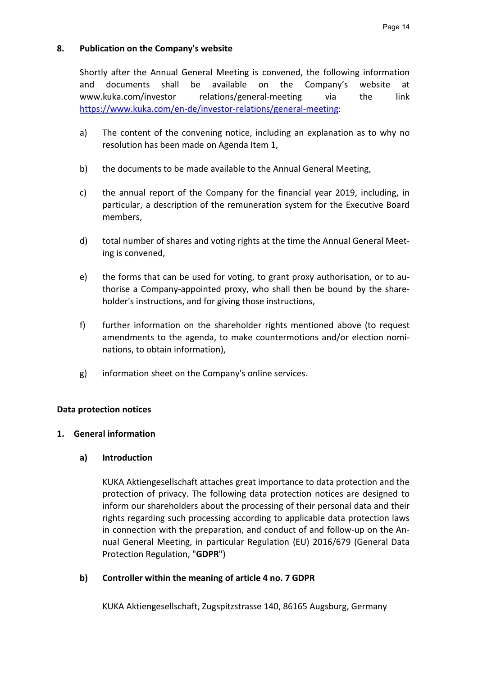#### 8. Publication on the Company's website

Shortly after the Annual General Meeting is convened, the following information and documents shall be available on the Company's website at www.kuka.com/investor relations/general-meeting via the link https://www.kuka.com/en-de/investor-relations/general-meeting:

- a) The content of the convening notice, including an explanation as to why no resolution has been made on Agenda Item 1,
- b) the documents to be made available to the Annual General Meeting,
- c) the annual report of the Company for the financial year 2019, including, in particular, a description of the remuneration system for the Executive Board members,
- d) total number of shares and voting rights at the time the Annual General Meeting is convened,
- e) the forms that can be used for voting, to grant proxy authorisation, or to authorise a Company-appointed proxy, who shall then be bound by the shareholder's instructions, and for giving those instructions,
- f) further information on the shareholder rights mentioned above (to request amendments to the agenda, to make countermotions and/or election nominations, to obtain information),
- g) information sheet on the Company's online services.

### Data protection notices

### 1. General information

### a) Introduction

KUKA Aktiengesellschaft attaches great importance to data protection and the protection of privacy. The following data protection notices are designed to inform our shareholders about the processing of their personal data and their rights regarding such processing according to applicable data protection laws in connection with the preparation, and conduct of and follow-up on the Annual General Meeting, in particular Regulation (EU) 2016/679 (General Data Protection Regulation, "GDPR")

### b) Controller within the meaning of article 4 no. 7 GDPR

KUKA Aktiengesellschaft, Zugspitzstrasse 140, 86165 Augsburg, Germany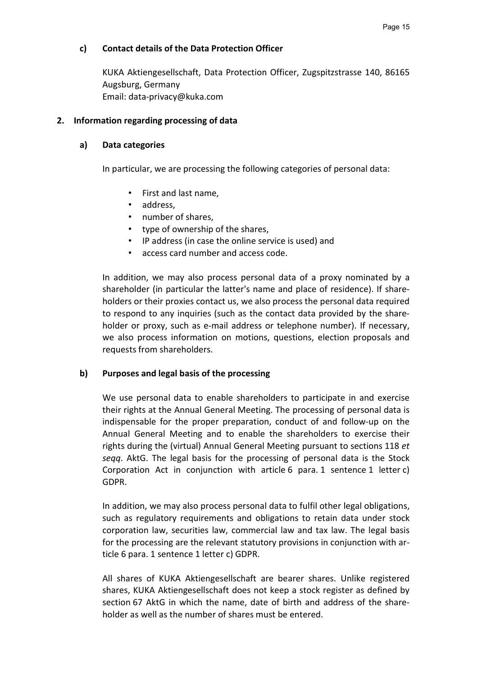#### c) Contact details of the Data Protection Officer

KUKA Aktiengesellschaft, Data Protection Officer, Zugspitzstrasse 140, 86165 Augsburg, Germany Email: data-privacy@kuka.com

#### 2. Information regarding processing of data

#### a) Data categories

In particular, we are processing the following categories of personal data:

- First and last name,
- address,
- number of shares,
- type of ownership of the shares,
- IP address (in case the online service is used) and
- access card number and access code.

In addition, we may also process personal data of a proxy nominated by a shareholder (in particular the latter's name and place of residence). If shareholders or their proxies contact us, we also process the personal data required to respond to any inquiries (such as the contact data provided by the shareholder or proxy, such as e-mail address or telephone number). If necessary, we also process information on motions, questions, election proposals and requests from shareholders.

### b) Purposes and legal basis of the processing

We use personal data to enable shareholders to participate in and exercise their rights at the Annual General Meeting. The processing of personal data is indispensable for the proper preparation, conduct of and follow-up on the Annual General Meeting and to enable the shareholders to exercise their rights during the (virtual) Annual General Meeting pursuant to sections 118 et seqq. AktG. The legal basis for the processing of personal data is the Stock Corporation Act in conjunction with article 6 para. 1 sentence 1 letter c) GDPR.

In addition, we may also process personal data to fulfil other legal obligations, such as regulatory requirements and obligations to retain data under stock corporation law, securities law, commercial law and tax law. The legal basis for the processing are the relevant statutory provisions in conjunction with article 6 para. 1 sentence 1 letter c) GDPR.

All shares of KUKA Aktiengesellschaft are bearer shares. Unlike registered shares, KUKA Aktiengesellschaft does not keep a stock register as defined by section 67 AktG in which the name, date of birth and address of the shareholder as well as the number of shares must be entered.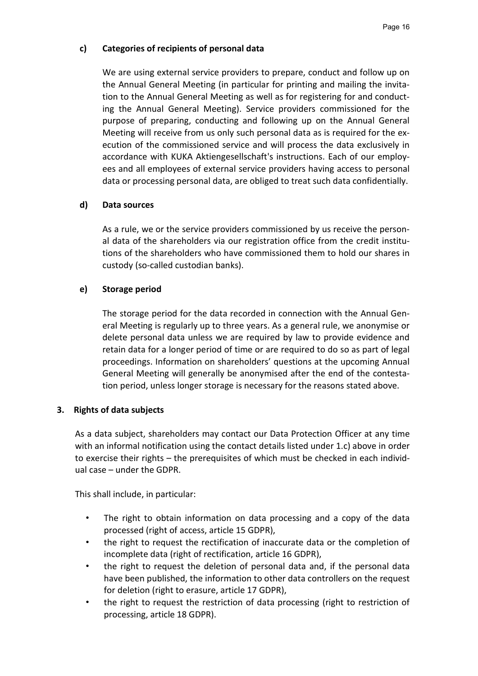### c) Categories of recipients of personal data

We are using external service providers to prepare, conduct and follow up on the Annual General Meeting (in particular for printing and mailing the invitation to the Annual General Meeting as well as for registering for and conducting the Annual General Meeting). Service providers commissioned for the purpose of preparing, conducting and following up on the Annual General Meeting will receive from us only such personal data as is required for the execution of the commissioned service and will process the data exclusively in accordance with KUKA Aktiengesellschaft's instructions. Each of our employees and all employees of external service providers having access to personal data or processing personal data, are obliged to treat such data confidentially.

## d) Data sources

As a rule, we or the service providers commissioned by us receive the personal data of the shareholders via our registration office from the credit institutions of the shareholders who have commissioned them to hold our shares in custody (so-called custodian banks).

## e) Storage period

The storage period for the data recorded in connection with the Annual General Meeting is regularly up to three years. As a general rule, we anonymise or delete personal data unless we are required by law to provide evidence and retain data for a longer period of time or are required to do so as part of legal proceedings. Information on shareholders' questions at the upcoming Annual General Meeting will generally be anonymised after the end of the contestation period, unless longer storage is necessary for the reasons stated above.

### 3. Rights of data subjects

As a data subject, shareholders may contact our Data Protection Officer at any time with an informal notification using the contact details listed under 1.c) above in order to exercise their rights – the prerequisites of which must be checked in each individual case – under the GDPR.

This shall include, in particular:

- The right to obtain information on data processing and a copy of the data processed (right of access, article 15 GDPR),
- the right to request the rectification of inaccurate data or the completion of incomplete data (right of rectification, article 16 GDPR),
- the right to request the deletion of personal data and, if the personal data have been published, the information to other data controllers on the request for deletion (right to erasure, article 17 GDPR),
- the right to request the restriction of data processing (right to restriction of processing, article 18 GDPR).